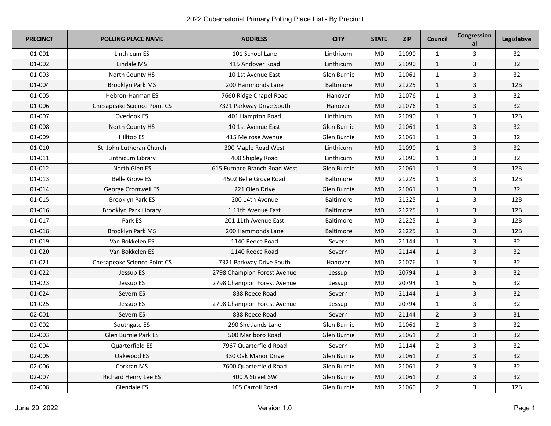| <b>PRECINCT</b> | <b>POLLING PLACE NAME</b>   | <b>ADDRESS</b>               | <b>CITY</b>      | <b>STATE</b> | <b>ZIP</b> | <b>Council</b> | Congression<br>al | Legislative |
|-----------------|-----------------------------|------------------------------|------------------|--------------|------------|----------------|-------------------|-------------|
| 01-001          | Linthicum ES                | 101 School Lane              | Linthicum        | <b>MD</b>    | 21090      | $\mathbf{1}$   | 3                 | 32          |
| 01-002          | Lindale MS                  | 415 Andover Road             | Linthicum        | <b>MD</b>    | 21090      | $\mathbf{1}$   | 3                 | 32          |
| 01-003          | North County HS             | 10 1st Avenue East           | Glen Burnie      | <b>MD</b>    | 21061      | $\mathbf{1}$   | 3                 | 32          |
| 01-004          | Brooklyn Park MS            | 200 Hammonds Lane            | <b>Baltimore</b> | <b>MD</b>    | 21225      | $\mathbf{1}$   | 3                 | 12B         |
| 01-005          | Hebron-Harman ES            | 7660 Ridge Chapel Road       | Hanover          | <b>MD</b>    | 21076      | $\mathbf{1}$   | 3                 | 32          |
| 01-006          | Chesapeake Science Point CS | 7321 Parkway Drive South     | Hanover          | <b>MD</b>    | 21076      | $\mathbf{1}$   | 3                 | 32          |
| 01-007          | Overlook ES                 | 401 Hampton Road             | Linthicum        | <b>MD</b>    | 21090      | $\mathbf{1}$   | 3                 | 12B         |
| 01-008          | North County HS             | 10 1st Avenue East           | Glen Burnie      | <b>MD</b>    | 21061      | $\mathbf{1}$   | 3                 | 32          |
| 01-009          | <b>Hilltop ES</b>           | 415 Melrose Avenue           | Glen Burnie      | <b>MD</b>    | 21061      | $\mathbf{1}$   | 3                 | 32          |
| 01-010          | St. John Lutheran Church    | 300 Maple Road West          | Linthicum        | <b>MD</b>    | 21090      | $\mathbf{1}$   | 3                 | 32          |
| 01-011          | Linthicum Library           | 400 Shipley Road             | Linthicum        | <b>MD</b>    | 21090      | $\mathbf{1}$   | 3                 | 32          |
| 01-012          | North Glen ES               | 615 Furnace Branch Road West | Glen Burnie      | <b>MD</b>    | 21061      | $\mathbf{1}$   | 3                 | 12B         |
| 01-013          | <b>Belle Grove ES</b>       | 4502 Belle Grove Road        | <b>Baltimore</b> | <b>MD</b>    | 21225      | $\mathbf{1}$   | 3                 | 12B         |
| 01-014          | George Cromwell ES          | 221 Olen Drive               | Glen Burnie      | <b>MD</b>    | 21061      | $\mathbf{1}$   | 3                 | 32          |
| 01-015          | Brooklyn Park ES            | 200 14th Avenue              | <b>Baltimore</b> | <b>MD</b>    | 21225      | $\mathbf{1}$   | 3                 | 12B         |
| 01-016          | Brooklyn Park Library       | 1 11th Avenue East           | Baltimore        | <b>MD</b>    | 21225      | $\mathbf{1}$   | 3                 | 12B         |
| 01-017          | Park ES                     | 201 11th Avenue East         | <b>Baltimore</b> | <b>MD</b>    | 21225      | $\mathbf{1}$   | 3                 | 12B         |
| 01-018          | <b>Brooklyn Park MS</b>     | 200 Hammonds Lane            | Baltimore        | <b>MD</b>    | 21225      | $\mathbf{1}$   | 3                 | 12B         |
| 01-019          | Van Bokkelen ES             | 1140 Reece Road              | Severn           | <b>MD</b>    | 21144      | $\mathbf{1}$   | 3                 | 32          |
| 01-020          | Van Bokkelen ES             | 1140 Reece Road              | Severn           | <b>MD</b>    | 21144      | $\mathbf{1}$   | 3                 | 32          |
| 01-021          | Chesapeake Science Point CS | 7321 Parkway Drive South     | Hanover          | <b>MD</b>    | 21076      | $\mathbf{1}$   | 3                 | 32          |
| 01-022          | Jessup ES                   | 2798 Champion Forest Avenue  | Jessup           | <b>MD</b>    | 20794      | $\mathbf{1}$   | $\overline{3}$    | 32          |
| 01-023          | Jessup ES                   | 2798 Champion Forest Avenue  | Jessup           | <b>MD</b>    | 20794      | $\mathbf{1}$   | 5                 | 32          |
| 01-024          | Severn ES                   | 838 Reece Road               | Severn           | <b>MD</b>    | 21144      | $\mathbf{1}$   | 3                 | 32          |
| 01-025          | Jessup ES                   | 2798 Champion Forest Avenue  | Jessup           | <b>MD</b>    | 20794      | $\mathbf{1}$   | 3                 | 32          |
| 02-001          | Severn ES                   | 838 Reece Road               | Severn           | <b>MD</b>    | 21144      | $\overline{2}$ | 3                 | 31          |
| 02-002          | Southgate ES                | 290 Shetlands Lane           | Glen Burnie      | <b>MD</b>    | 21061      | $\overline{2}$ | 3                 | 32          |
| 02-003          | <b>Glen Burnie Park ES</b>  | 500 Marlboro Road            | Glen Burnie      | <b>MD</b>    | 21061      | $\overline{2}$ | 3                 | 32          |
| 02-004          | <b>Quarterfield ES</b>      | 7967 Quarterfield Road       | Severn           | <b>MD</b>    | 21144      | $\overline{2}$ | 3                 | 32          |
| 02-005          | Oakwood ES                  | 330 Oak Manor Drive          | Glen Burnie      | <b>MD</b>    | 21061      | $\overline{2}$ | 3                 | 32          |
| 02-006          | Corkran MS                  | 7600 Quarterfield Road       | Glen Burnie      | <b>MD</b>    | 21061      | $\overline{2}$ | 3                 | 32          |
| 02-007          | Richard Henry Lee ES        | 400 A Street SW              | Glen Burnie      | <b>MD</b>    | 21061      | $\overline{2}$ | 3                 | 32          |
| 02-008          | Glendale ES                 | 105 Carroll Road             | Glen Burnie      | <b>MD</b>    | 21060      | $\overline{2}$ | 3                 | 12B         |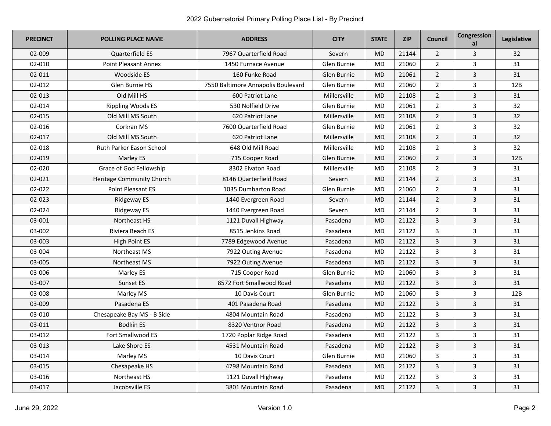| <b>PRECINCT</b> | <b>POLLING PLACE NAME</b>       | <b>ADDRESS</b>                     | <b>CITY</b>  | <b>STATE</b> | <b>ZIP</b> | <b>Council</b> | Congression<br>al | Legislative |
|-----------------|---------------------------------|------------------------------------|--------------|--------------|------------|----------------|-------------------|-------------|
| 02-009          | <b>Quarterfield ES</b>          | 7967 Quarterfield Road             | Severn       | <b>MD</b>    | 21144      | $\overline{2}$ | 3                 | 32          |
| 02-010          | <b>Point Pleasant Annex</b>     | 1450 Furnace Avenue                | Glen Burnie  | <b>MD</b>    | 21060      | $\overline{2}$ | 3                 | 31          |
| 02-011          | <b>Woodside ES</b>              | 160 Funke Road                     | Glen Burnie  | <b>MD</b>    | 21061      | $\overline{2}$ | 3                 | 31          |
| 02-012          | <b>Glen Burnie HS</b>           | 7550 Baltimore Annapolis Boulevard | Glen Burnie  | <b>MD</b>    | 21060      | $\overline{2}$ | 3                 | 12B         |
| 02-013          | Old Mill HS                     | 600 Patriot Lane                   | Millersville | <b>MD</b>    | 21108      | $\overline{2}$ | 3                 | 31          |
| 02-014          | <b>Rippling Woods ES</b>        | 530 Nolfield Drive                 | Glen Burnie  | MD           | 21061      | $\overline{2}$ | 3                 | 32          |
| 02-015          | Old Mill MS South               | 620 Patriot Lane                   | Millersville | <b>MD</b>    | 21108      | $\overline{2}$ | 3                 | 32          |
| 02-016          | Corkran MS                      | 7600 Quarterfield Road             | Glen Burnie  | <b>MD</b>    | 21061      | $\overline{2}$ | 3                 | 32          |
| 02-017          | Old Mill MS South               | 620 Patriot Lane                   | Millersville | <b>MD</b>    | 21108      | $\overline{2}$ | $\overline{3}$    | 32          |
| 02-018          | <b>Ruth Parker Eason School</b> | 648 Old Mill Road                  | Millersville | <b>MD</b>    | 21108      | $\overline{2}$ | 3                 | 32          |
| 02-019          | Marley ES                       | 715 Cooper Road                    | Glen Burnie  | <b>MD</b>    | 21060      | $\overline{2}$ | 3                 | 12B         |
| 02-020          | Grace of God Fellowship         | 8302 Elvaton Road                  | Millersville | <b>MD</b>    | 21108      | $\overline{2}$ | 3                 | 31          |
| 02-021          | Heritage Community Church       | 8146 Quarterfield Road             | Severn       | <b>MD</b>    | 21144      | $\overline{2}$ | 3                 | 31          |
| 02-022          | <b>Point Pleasant ES</b>        | 1035 Dumbarton Road                | Glen Burnie  | <b>MD</b>    | 21060      | $\overline{2}$ | 3                 | 31          |
| 02-023          | <b>Ridgeway ES</b>              | 1440 Evergreen Road                | Severn       | <b>MD</b>    | 21144      | $\overline{2}$ | 3                 | 31          |
| 02-024          | Ridgeway ES                     | 1440 Evergreen Road                | Severn       | <b>MD</b>    | 21144      | $\overline{2}$ | 3                 | 31          |
| 03-001          | Northeast HS                    | 1121 Duvall Highway                | Pasadena     | <b>MD</b>    | 21122      | $\overline{3}$ | 3                 | 31          |
| 03-002          | Riviera Beach ES                | 8515 Jenkins Road                  | Pasadena     | <b>MD</b>    | 21122      | 3              | 3                 | 31          |
| 03-003          | <b>High Point ES</b>            | 7789 Edgewood Avenue               | Pasadena     | <b>MD</b>    | 21122      | 3              | 3                 | 31          |
| 03-004          | Northeast MS                    | 7922 Outing Avenue                 | Pasadena     | <b>MD</b>    | 21122      | 3              | 3                 | 31          |
| 03-005          | Northeast MS                    | 7922 Outing Avenue                 | Pasadena     | <b>MD</b>    | 21122      | 3              | 3                 | 31          |
| 03-006          | Marley ES                       | 715 Cooper Road                    | Glen Burnie  | <b>MD</b>    | 21060      | $\overline{3}$ | 3                 | 31          |
| 03-007          | Sunset ES                       | 8572 Fort Smallwood Road           | Pasadena     | <b>MD</b>    | 21122      | $\overline{3}$ | 3                 | 31          |
| 03-008          | Marley MS                       | 10 Davis Court                     | Glen Burnie  | MD           | 21060      | 3              | 3                 | 12B         |
| 03-009          | Pasadena ES                     | 401 Pasadena Road                  | Pasadena     | <b>MD</b>    | 21122      | 3              | 3                 | 31          |
| 03-010          | Chesapeake Bay MS - B Side      | 4804 Mountain Road                 | Pasadena     | MD           | 21122      | 3              | 3                 | 31          |
| 03-011          | <b>Bodkin ES</b>                | 8320 Ventnor Road                  | Pasadena     | <b>MD</b>    | 21122      | $\overline{3}$ | 3                 | 31          |
| 03-012          | Fort Smallwood ES               | 1720 Poplar Ridge Road             | Pasadena     | <b>MD</b>    | 21122      | $\overline{3}$ | 3                 | 31          |
| 03-013          | Lake Shore ES                   | 4531 Mountain Road                 | Pasadena     | <b>MD</b>    | 21122      | $\overline{3}$ | 3                 | 31          |
| 03-014          | Marley MS                       | 10 Davis Court                     | Glen Burnie  | MD           | 21060      | 3              | 3                 | 31          |
| 03-015          | Chesapeake HS                   | 4798 Mountain Road                 | Pasadena     | <b>MD</b>    | 21122      | $\overline{3}$ | 3                 | 31          |
| 03-016          | Northeast HS                    | 1121 Duvall Highway                | Pasadena     | MD           | 21122      | 3              | 3                 | 31          |
| 03-017          | Jacobsville ES                  | 3801 Mountain Road                 | Pasadena     | <b>MD</b>    | 21122      | 3              | 3                 | 31          |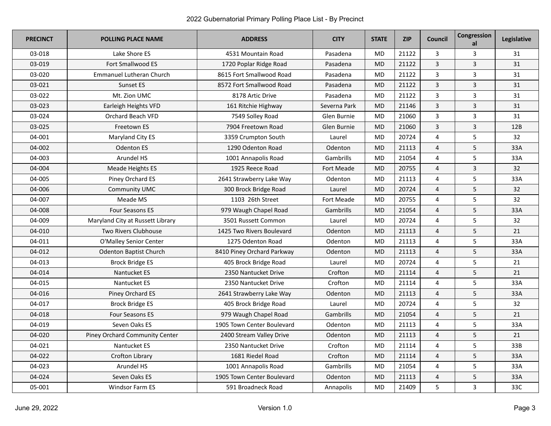| <b>PRECINCT</b> | <b>POLLING PLACE NAME</b>        | <b>ADDRESS</b>             | <b>CITY</b>  | <b>STATE</b> | <b>ZIP</b> | <b>Council</b>          | Congression<br>al | Legislative |
|-----------------|----------------------------------|----------------------------|--------------|--------------|------------|-------------------------|-------------------|-------------|
| 03-018          | Lake Shore ES                    | 4531 Mountain Road         | Pasadena     | <b>MD</b>    | 21122      | 3                       | 3                 | 31          |
| 03-019          | Fort Smallwood ES                | 1720 Poplar Ridge Road     | Pasadena     | MD           | 21122      | $\overline{3}$          | 3                 | 31          |
| 03-020          | <b>Emmanuel Lutheran Church</b>  | 8615 Fort Smallwood Road   | Pasadena     | <b>MD</b>    | 21122      | $\overline{3}$          | 3                 | 31          |
| 03-021          | Sunset ES                        | 8572 Fort Smallwood Road   | Pasadena     | MD           | 21122      | $\overline{3}$          | 3                 | 31          |
| 03-022          | Mt. Zion UMC                     | 8178 Artic Drive           | Pasadena     | <b>MD</b>    | 21122      | $\overline{3}$          | 3                 | 31          |
| 03-023          | Earleigh Heights VFD             | 161 Ritchie Highway        | Severna Park | <b>MD</b>    | 21146      | $\overline{3}$          | 3                 | 31          |
| 03-024          | Orchard Beach VFD                | 7549 Solley Road           | Glen Burnie  | <b>MD</b>    | 21060      | 3                       | 3                 | 31          |
| 03-025          | Freetown ES                      | 7904 Freetown Road         | Glen Burnie  | MD           | 21060      | $\overline{3}$          | 3                 | 12B         |
| 04-001          | Maryland City ES                 | 3359 Crumpton South        | Laurel       | MD           | 20724      | $\overline{4}$          | 5                 | 32          |
| 04-002          | <b>Odenton ES</b>                | 1290 Odenton Road          | Odenton      | MD           | 21113      | $\overline{4}$          | 5                 | 33A         |
| 04-003          | Arundel HS                       | 1001 Annapolis Road        | Gambrills    | <b>MD</b>    | 21054      | $\overline{4}$          | 5                 | 33A         |
| 04-004          | Meade Heights ES                 | 1925 Reece Road            | Fort Meade   | MD           | 20755      | $\overline{4}$          | 3                 | 32          |
| 04-005          | Piney Orchard ES                 | 2641 Strawberry Lake Way   | Odenton      | <b>MD</b>    | 21113      | $\overline{4}$          | 5                 | 33A         |
| 04-006          | <b>Community UMC</b>             | 300 Brock Bridge Road      | Laurel       | <b>MD</b>    | 20724      | $\overline{4}$          | 5                 | 32          |
| 04-007          | Meade MS                         | 1103 26th Street           | Fort Meade   | MD           | 20755      | $\overline{4}$          | 5                 | 32          |
| 04-008          | <b>Four Seasons ES</b>           | 979 Waugh Chapel Road      | Gambrills    | <b>MD</b>    | 21054      | $\overline{4}$          | 5                 | 33A         |
| 04-009          | Maryland City at Russett Library | 3501 Russett Common        | Laurel       | MD           | 20724      | 4                       | 5                 | 32          |
| 04-010          | <b>Two Rivers Clubhouse</b>      | 1425 Two Rivers Boulevard  | Odenton      | <b>MD</b>    | 21113      | $\overline{4}$          | 5                 | 21          |
| 04-011          | O'Malley Senior Center           | 1275 Odenton Road          | Odenton      | <b>MD</b>    | 21113      | $\overline{4}$          | 5                 | 33A         |
| 04-012          | <b>Odenton Baptist Church</b>    | 8410 Piney Orchard Parkway | Odenton      | <b>MD</b>    | 21113      | $\overline{4}$          | 5                 | 33A         |
| 04-013          | <b>Brock Bridge ES</b>           | 405 Brock Bridge Road      | Laurel       | <b>MD</b>    | 20724      | $\overline{4}$          | 5                 | 21          |
| 04-014          | Nantucket ES                     | 2350 Nantucket Drive       | Crofton      | <b>MD</b>    | 21114      | $\overline{4}$          | 5                 | 21          |
| 04-015          | Nantucket ES                     | 2350 Nantucket Drive       | Crofton      | MD           | 21114      | $\overline{4}$          | 5                 | 33A         |
| 04-016          | Piney Orchard ES                 | 2641 Strawberry Lake Way   | Odenton      | MD           | 21113      | $\overline{4}$          | 5                 | 33A         |
| 04-017          | Brock Bridge ES                  | 405 Brock Bridge Road      | Laurel       | MD           | 20724      | $\overline{\mathbf{4}}$ | 5                 | 32          |
| 04-018          | Four Seasons ES                  | 979 Waugh Chapel Road      | Gambrills    | <b>MD</b>    | 21054      | $\overline{4}$          | 5                 | 21          |
| 04-019          | Seven Oaks ES                    | 1905 Town Center Boulevard | Odenton      | <b>MD</b>    | 21113      | $\overline{4}$          | 5                 | 33A         |
| 04-020          | Piney Orchard Community Center   | 2400 Stream Valley Drive   | Odenton      | MD           | 21113      | $\overline{4}$          | 5                 | 21          |
| 04-021          | Nantucket ES                     | 2350 Nantucket Drive       | Crofton      | <b>MD</b>    | 21114      | $\overline{4}$          | 5                 | 33B         |
| 04-022          | Crofton Library                  | 1681 Riedel Road           | Crofton      | MD           | 21114      | $\overline{4}$          | 5                 | 33A         |
| 04-023          | Arundel HS                       | 1001 Annapolis Road        | Gambrills    | <b>MD</b>    | 21054      | 4                       | 5                 | 33A         |
| 04-024          | Seven Oaks ES                    | 1905 Town Center Boulevard | Odenton      | <b>MD</b>    | 21113      | $\overline{4}$          | 5                 | 33A         |
| 05-001          | <b>Windsor Farm ES</b>           | 591 Broadneck Road         | Annapolis    | <b>MD</b>    | 21409      | 5                       | 3                 | 33C         |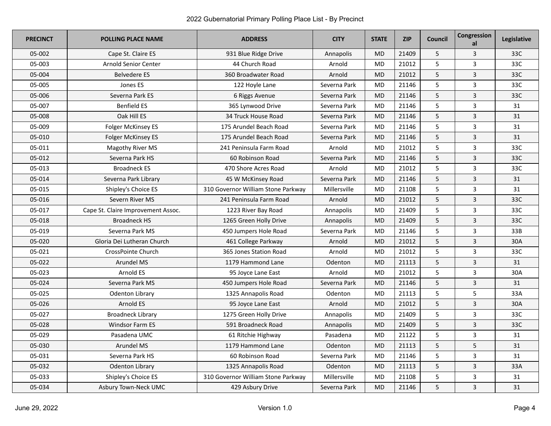| <b>PRECINCT</b> | <b>POLLING PLACE NAME</b>          | <b>ADDRESS</b>                     | <b>CITY</b>  | <b>STATE</b> | <b>ZIP</b> | Council | Congression<br>al       | Legislative |
|-----------------|------------------------------------|------------------------------------|--------------|--------------|------------|---------|-------------------------|-------------|
| 05-002          | Cape St. Claire ES                 | 931 Blue Ridge Drive               | Annapolis    | <b>MD</b>    | 21409      | 5       | 3                       | 33C         |
| 05-003          | Arnold Senior Center               | 44 Church Road                     | Arnold       | <b>MD</b>    | 21012      | 5       | $\overline{3}$          | 33C         |
| 05-004          | <b>Belvedere ES</b>                | 360 Broadwater Road                | Arnold       | <b>MD</b>    | 21012      | 5       | 3                       | 33C         |
| 05-005          | Jones ES                           | 122 Hoyle Lane                     | Severna Park | <b>MD</b>    | 21146      | 5       | 3                       | 33C         |
| 05-006          | Severna Park ES                    | 6 Riggs Avenue                     | Severna Park | <b>MD</b>    | 21146      | 5       | 3                       | 33C         |
| 05-007          | <b>Benfield ES</b>                 | 365 Lynwood Drive                  | Severna Park | <b>MD</b>    | 21146      | 5       | 3                       | 31          |
| 05-008          | Oak Hill ES                        | 34 Truck House Road                | Severna Park | <b>MD</b>    | 21146      | 5       | 3                       | 31          |
| 05-009          | Folger McKinsey ES                 | 175 Arundel Beach Road             | Severna Park | <b>MD</b>    | 21146      | 5       | 3                       | 31          |
| 05-010          | <b>Folger McKinsey ES</b>          | 175 Arundel Beach Road             | Severna Park | <b>MD</b>    | 21146      | 5       | 3                       | 31          |
| 05-011          | Magothy River MS                   | 241 Peninsula Farm Road            | Arnold       | <b>MD</b>    | 21012      | 5       | 3                       | 33C         |
| 05-012          | Severna Park HS                    | 60 Robinson Road                   | Severna Park | <b>MD</b>    | 21146      | 5       | 3                       | 33C         |
| 05-013          | <b>Broadneck ES</b>                | 470 Shore Acres Road               | Arnold       | MD           | 21012      | 5       | 3                       | 33C         |
| 05-014          | Severna Park Library               | 45 W McKinsey Road                 | Severna Park | <b>MD</b>    | 21146      | 5       | 3                       | 31          |
| 05-015          | Shipley's Choice ES                | 310 Governor William Stone Parkway | Millersville | <b>MD</b>    | 21108      | 5       | 3                       | 31          |
| 05-016          | Severn River MS                    | 241 Peninsula Farm Road            | Arnold       | <b>MD</b>    | 21012      | 5       | 3                       | 33C         |
| 05-017          | Cape St. Claire Improvement Assoc. | 1223 River Bay Road                | Annapolis    | <b>MD</b>    | 21409      | 5       | 3                       | 33C         |
| 05-018          | <b>Broadneck HS</b>                | 1265 Green Holly Drive             | Annapolis    | <b>MD</b>    | 21409      | 5       | 3                       | 33C         |
| 05-019          | Severna Park MS                    | 450 Jumpers Hole Road              | Severna Park | <b>MD</b>    | 21146      | 5       | 3                       | 33B         |
| 05-020          | Gloria Dei Lutheran Church         | 461 College Parkway                | Arnold       | <b>MD</b>    | 21012      | 5       | 3                       | 30A         |
| 05-021          | CrossPointe Church                 | 365 Jones Station Road             | Arnold       | <b>MD</b>    | 21012      | 5       | 3                       | 33C         |
| 05-022          | Arundel MS                         | 1179 Hammond Lane                  | Odenton      | <b>MD</b>    | 21113      | 5       | 3                       | 31          |
| 05-023          | Arnold ES                          | 95 Joyce Lane East                 | Arnold       | <b>MD</b>    | 21012      | 5       | 3                       | 30A         |
| 05-024          | Severna Park MS                    | 450 Jumpers Hole Road              | Severna Park | <b>MD</b>    | 21146      | 5       | 3                       | 31          |
| 05-025          | <b>Odenton Library</b>             | 1325 Annapolis Road                | Odenton      | <b>MD</b>    | 21113      | 5       | 5                       | 33A         |
| 05-026          | Arnold ES                          | 95 Joyce Lane East                 | Arnold       | <b>MD</b>    | 21012      | 5       | $\overline{\mathbf{3}}$ | 30A         |
| 05-027          | <b>Broadneck Library</b>           | 1275 Green Holly Drive             | Annapolis    | <b>MD</b>    | 21409      | 5       | 3                       | 33C         |
| 05-028          | <b>Windsor Farm ES</b>             | 591 Broadneck Road                 | Annapolis    | <b>MD</b>    | 21409      | 5       | 3                       | 33C         |
| 05-029          | Pasadena UMC                       | 61 Ritchie Highway                 | Pasadena     | <b>MD</b>    | 21122      | 5       | 3                       | 31          |
| 05-030          | <b>Arundel MS</b>                  | 1179 Hammond Lane                  | Odenton      | <b>MD</b>    | 21113      | 5       | 5                       | 31          |
| 05-031          | Severna Park HS                    | 60 Robinson Road                   | Severna Park | <b>MD</b>    | 21146      | 5       | 3                       | 31          |
| 05-032          | <b>Odenton Library</b>             | 1325 Annapolis Road                | Odenton      | <b>MD</b>    | 21113      | 5       | 3                       | 33A         |
| 05-033          | Shipley's Choice ES                | 310 Governor William Stone Parkway | Millersville | <b>MD</b>    | 21108      | 5       | 3                       | 31          |
| 05-034          | Asbury Town-Neck UMC               | 429 Asbury Drive                   | Severna Park | <b>MD</b>    | 21146      | 5       | 3                       | 31          |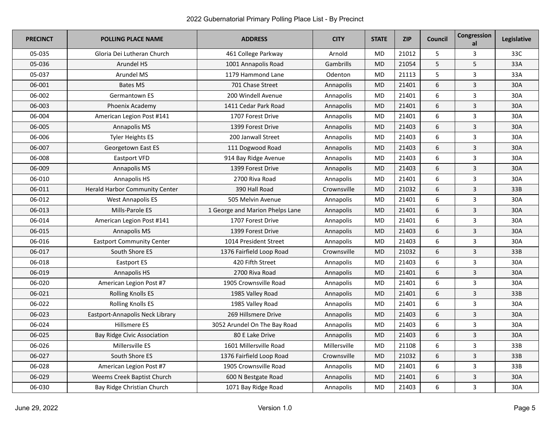| <b>PRECINCT</b> | <b>POLLING PLACE NAME</b>             | <b>ADDRESS</b>                  | <b>CITY</b>      | <b>STATE</b> | <b>ZIP</b> | <b>Council</b>   | Congression<br>al | Legislative |
|-----------------|---------------------------------------|---------------------------------|------------------|--------------|------------|------------------|-------------------|-------------|
| 05-035          | Gloria Dei Lutheran Church            | 461 College Parkway             | Arnold           | <b>MD</b>    | 21012      | 5                | 3                 | 33C         |
| 05-036          | Arundel HS                            | 1001 Annapolis Road             | Gambrills        | <b>MD</b>    | 21054      | 5                | 5                 | 33A         |
| 05-037          | <b>Arundel MS</b>                     | 1179 Hammond Lane               | <b>Odenton</b>   | <b>MD</b>    | 21113      | 5                | 3                 | 33A         |
| 06-001          | <b>Bates MS</b>                       | 701 Chase Street                | Annapolis        | MD           | 21401      | 6                | 3                 | 30A         |
| 06-002          | Germantown ES                         | 200 Windell Avenue              | Annapolis        | <b>MD</b>    | 21401      | 6                | 3                 | 30A         |
| 06-003          | Phoenix Academy                       | 1411 Cedar Park Road            | Annapolis        | <b>MD</b>    | 21401      | 6                | 3                 | 30A         |
| 06-004          | American Legion Post #141             | 1707 Forest Drive               | Annapolis        | <b>MD</b>    | 21401      | 6                | 3                 | 30A         |
| 06-005          | Annapolis MS                          | 1399 Forest Drive               | Annapolis        | <b>MD</b>    | 21403      | 6                | 3                 | 30A         |
| 06-006          | <b>Tyler Heights ES</b>               | 200 Janwall Street              | Annapolis        | MD           | 21403      | $\boldsymbol{6}$ | 3                 | 30A         |
| 06-007          | Georgetown East ES                    | 111 Dogwood Road                | Annapolis        | <b>MD</b>    | 21403      | 6                | 3                 | 30A         |
| 06-008          | Eastport VFD                          | 914 Bay Ridge Avenue            | Annapolis        | MD           | 21403      | 6                | 3                 | 30A         |
| 06-009          | Annapolis MS                          | 1399 Forest Drive               | Annapolis        | <b>MD</b>    | 21403      | 6                | 3                 | 30A         |
| 06-010          | Annapolis HS                          | 2700 Riva Road                  | <b>Annapolis</b> | <b>MD</b>    | 21401      | 6                | 3                 | 30A         |
| 06-011          | <b>Herald Harbor Community Center</b> | 390 Hall Road                   | Crownsville      | <b>MD</b>    | 21032      | 6                | 3                 | 33B         |
| 06-012          | <b>West Annapolis ES</b>              | 505 Melvin Avenue               | Annapolis        | <b>MD</b>    | 21401      | 6                | 3                 | 30A         |
| 06-013          | Mills-Parole ES                       | 1 George and Marion Phelps Lane | Annapolis        | <b>MD</b>    | 21401      | $\boldsymbol{6}$ | 3                 | 30A         |
| 06-014          | American Legion Post #141             | 1707 Forest Drive               | Annapolis        | MD           | 21401      | 6                | 3                 | 30A         |
| 06-015          | Annapolis MS                          | 1399 Forest Drive               | Annapolis        | <b>MD</b>    | 21403      | 6                | 3                 | 30A         |
| 06-016          | <b>Eastport Community Center</b>      | 1014 President Street           | Annapolis        | MD           | 21403      | 6                | 3                 | 30A         |
| 06-017          | South Shore ES                        | 1376 Fairfield Loop Road        | Crownsville      | <b>MD</b>    | 21032      | 6                | 3                 | 33B         |
| 06-018          | Eastport ES                           | 420 Fifth Street                | Annapolis        | MD           | 21403      | 6                | 3                 | 30A         |
| 06-019          | Annapolis HS                          | 2700 Riva Road                  | Annapolis        | <b>MD</b>    | 21401      | 6                | 3                 | 30A         |
| 06-020          | American Legion Post #7               | 1905 Crownsville Road           | Annapolis        | MD           | 21401      | 6                | 3                 | 30A         |
| 06-021          | <b>Rolling Knolls ES</b>              | 1985 Valley Road                | Annapolis        | <b>MD</b>    | 21401      | 6                | 3                 | 33B         |
| 06-022          | <b>Rolling Knolls ES</b>              | 1985 Valley Road                | Annapolis        | MD           | 21401      | 6                | 3                 | 30A         |
| 06-023          | Eastport-Annapolis Neck Library       | 269 Hillsmere Drive             | <b>Annapolis</b> | <b>MD</b>    | 21403      | 6                | 3                 | 30A         |
| 06-024          | Hillsmere ES                          | 3052 Arundel On The Bay Road    | Annapolis        | MD           | 21403      | 6                | 3                 | 30A         |
| 06-025          | <b>Bay Ridge Civic Association</b>    | 80 E Lake Drive                 | Annapolis        | <b>MD</b>    | 21403      | 6                | 3                 | 30A         |
| 06-026          | Millersville ES                       | 1601 Millersville Road          | Millersville     | MD           | 21108      | $\boldsymbol{6}$ | 3                 | 33B         |
| 06-027          | South Shore ES                        | 1376 Fairfield Loop Road        | Crownsville      | <b>MD</b>    | 21032      | 6                | 3                 | 33B         |
| 06-028          | American Legion Post #7               | 1905 Crownsville Road           | Annapolis        | MD           | 21401      | 6                | 3                 | 33B         |
| 06-029          | Weems Creek Baptist Church            | 600 N Bestgate Road             | Annapolis        | <b>MD</b>    | 21401      | 6                | 3                 | 30A         |
| 06-030          | Bay Ridge Christian Church            | 1071 Bay Ridge Road             | Annapolis        | <b>MD</b>    | 21403      | 6                | 3                 | 30A         |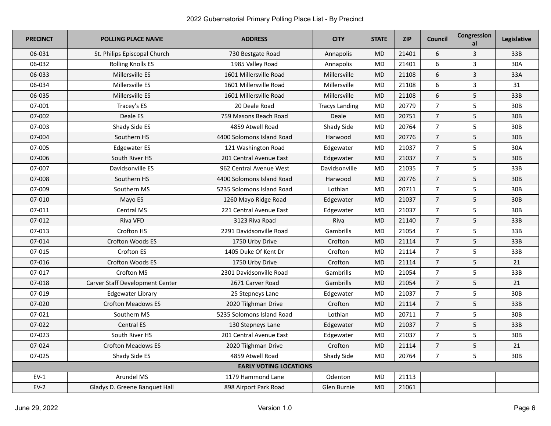| <b>PRECINCT</b> | <b>POLLING PLACE NAME</b>       | <b>ADDRESS</b>                | <b>CITY</b>           | <b>STATE</b> | <b>ZIP</b> | Council        | Congression<br>al | Legislative     |
|-----------------|---------------------------------|-------------------------------|-----------------------|--------------|------------|----------------|-------------------|-----------------|
| 06-031          | St. Philips Episcopal Church    | 730 Bestgate Road             | Annapolis             | <b>MD</b>    | 21401      | 6              | 3                 | 33B             |
| 06-032          | <b>Rolling Knolls ES</b>        | 1985 Valley Road              | Annapolis             | MD           | 21401      | 6              | 3                 | 30A             |
| 06-033          | Millersville ES                 | 1601 Millersville Road        | Millersville          | <b>MD</b>    | 21108      | 6              | 3                 | 33A             |
| 06-034          | Millersville ES                 | 1601 Millersville Road        | Millersville          | <b>MD</b>    | 21108      | 6              | 3                 | 31              |
| 06-035          | Millersville ES                 | 1601 Millersville Road        | Millersville          | <b>MD</b>    | 21108      | 6              | 5                 | 33B             |
| 07-001          | Tracey's ES                     | 20 Deale Road                 | <b>Tracys Landing</b> | <b>MD</b>    | 20779      | $\overline{7}$ | 5                 | 30 <sub>B</sub> |
| 07-002          | Deale ES                        | 759 Masons Beach Road         | Deale                 | <b>MD</b>    | 20751      | $\overline{7}$ | 5                 | 30B             |
| 07-003          | Shady Side ES                   | 4859 Atwell Road              | Shady Side            | MD           | 20764      | $\overline{7}$ | 5                 | 30B             |
| 07-004          | Southern HS                     | 4400 Solomons Island Road     | Harwood               | <b>MD</b>    | 20776      | $\overline{7}$ | 5                 | 30B             |
| 07-005          | <b>Edgewater ES</b>             | 121 Washington Road           | Edgewater             | <b>MD</b>    | 21037      | $\overline{7}$ | 5                 | 30A             |
| 07-006          | South River HS                  | 201 Central Avenue East       | Edgewater             | <b>MD</b>    | 21037      | $\overline{7}$ | 5                 | 30B             |
| 07-007          | Davidsonville ES                | 962 Central Avenue West       | Davidsonville         | MD           | 21035      | $\overline{7}$ | 5                 | 33B             |
| 07-008          | Southern HS                     | 4400 Solomons Island Road     | Harwood               | <b>MD</b>    | 20776      | $\overline{7}$ | 5                 | 30B             |
| 07-009          | Southern MS                     | 5235 Solomons Island Road     | Lothian               | MD           | 20711      | $\overline{7}$ | 5                 | 30B             |
| 07-010          | Mayo ES                         | 1260 Mayo Ridge Road          | Edgewater             | <b>MD</b>    | 21037      | $\overline{7}$ | 5                 | 30B             |
| 07-011          | Central MS                      | 221 Central Avenue East       | Edgewater             | <b>MD</b>    | 21037      | $\overline{7}$ | 5                 | 30 <sub>B</sub> |
| 07-012          | Riva VFD                        | 3123 Riva Road                | Riva                  | <b>MD</b>    | 21140      | $\overline{7}$ | 5                 | 33B             |
| 07-013          | Crofton HS                      | 2291 Davidsonville Road       | Gambrills             | MD           | 21054      | $\overline{7}$ | 5                 | 33B             |
| 07-014          | <b>Crofton Woods ES</b>         | 1750 Urby Drive               | Crofton               | <b>MD</b>    | 21114      | $\overline{7}$ | 5                 | 33B             |
| 07-015          | <b>Crofton ES</b>               | 1405 Duke Of Kent Dr          | Crofton               | <b>MD</b>    | 21114      | $\overline{7}$ | 5                 | 33B             |
| 07-016          | Crofton Woods ES                | 1750 Urby Drive               | Crofton               | <b>MD</b>    | 21114      | $\overline{7}$ | 5                 | 21              |
| 07-017          | Crofton MS                      | 2301 Davidsonville Road       | Gambrills             | MD           | 21054      | $\overline{7}$ | 5                 | 33B             |
| 07-018          | Carver Staff Development Center | 2671 Carver Road              | Gambrills             | MD           | 21054      | $\overline{7}$ | 5                 | 21              |
| 07-019          | Edgewater Library               | 25 Stepneys Lane              | Edgewater             | <b>MD</b>    | 21037      | $\overline{7}$ | 5                 | 30B             |
| 07-020          | <b>Crofton Meadows ES</b>       | 2020 Tilghman Drive           | Crofton               | <b>MD</b>    | 21114      | $\overline{7}$ | 5                 | 33B             |
| 07-021          | Southern MS                     | 5235 Solomons Island Road     | Lothian               | MD           | 20711      | $\overline{7}$ | 5                 | 30B             |
| 07-022          | <b>Central ES</b>               | 130 Stepneys Lane             | Edgewater             | <b>MD</b>    | 21037      | $\overline{7}$ | 5                 | 33B             |
| 07-023          | South River HS                  | 201 Central Avenue East       | Edgewater             | <b>MD</b>    | 21037      | $\overline{7}$ | 5                 | 30B             |
| 07-024          | <b>Crofton Meadows ES</b>       | 2020 Tilghman Drive           | Crofton               | <b>MD</b>    | 21114      | $\overline{7}$ | 5                 | 21              |
| 07-025          | Shady Side ES                   | 4859 Atwell Road              | Shady Side            | <b>MD</b>    | 20764      | $\overline{7}$ | 5                 | 30 <sub>B</sub> |
|                 |                                 | <b>EARLY VOTING LOCATIONS</b> |                       |              |            |                |                   |                 |
| $EV-1$          | Arundel MS                      | 1179 Hammond Lane             | Odenton               | MD           | 21113      |                |                   |                 |
| $EV-2$          | Gladys D. Greene Banquet Hall   | 898 Airport Park Road         | Glen Burnie           | <b>MD</b>    | 21061      |                |                   |                 |